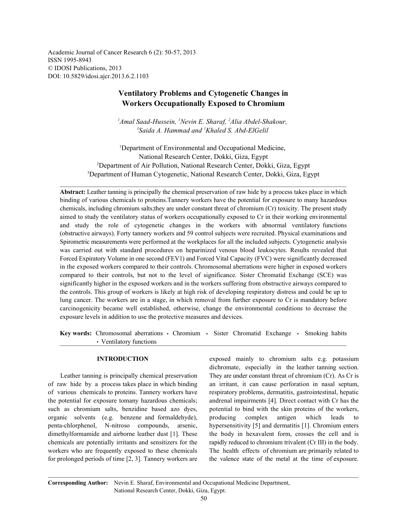Academic Journal of Cancer Research 6 (2): 50-57, 2013 ISSN 1995-8943 © IDOSI Publications, 2013 DOI: 10.5829/idosi.ajcr.2013.6.2.1103

# **Ventilatory Problems and Cytogenetic Changes in Workers Occupationally Exposed to Chromium**

<sup>1</sup>Amal Saad-Hussein, <sup>1</sup>Nevin E. Sharaf, <sup>2</sup>Alia Abdel-Shakour, <sup>3</sup> Saida A. Hammad and <sup>1</sup> Khaled S. Abd-ElGelil

<sup>1</sup>Department of Environmental and Occupational Medicine, National Research Center, Dokki, Giza, Egypt <sup>2</sup>Department of Air Pollution, National Research Center, Dokki, Giza, Egypt <sup>3</sup>Department of Human Cytogenetic, National Research Center, Dokki, Giza, Egypt

**Abstract:** Leather tanning is principally the chemical preservation of raw hide by a process takes place in which binding of various chemicals to proteins.Tannery workers have the potential for exposure to many hazardous chemicals, including chromium salts;they are under constant threat of chromium (Cr) toxicity. The present study aimed to study the ventilatory status of workers occupationally exposed to Cr in their working environmental and study the role of cytogenetic changes in the workers with abnormal ventilatory functions (obstructive airways). Forty tannery workers and 59 control subjects were recruited. Physical examinations and Spirometric measurements were performed at the workplaces for all the included subjects. Cytogenetic analysis was carried out with standard procedures on heparinized venous blood leukocytes. Results revealed that Forced Expiratory Volume in one second (FEV1) and Forced Vital Capacity (FVC) were significantly decreased in the exposed workers compared to their controls. Chromosomal aberrations were higher in exposed workers compared to their controls, but not to the level of significance. Sister Chromatid Exchange (SCE) was significantly higher in the exposed workers and in the workers suffering from obstructive airways compared to the controls. This group of workers is likely at high risk of developing respiratory distress and could be up to lung cancer. The workers are in a stage, in which removal from further exposure to Cr is mandatory before carcinogenicity became well established, otherwise, change the environmental conditions to decrease the exposure levels in addition to use the protective measures and devices.

Key words: Chromosomal aberrations · Chromium · Sister Chromatid Exchange · Smoking habits Ventilatory functions

of raw hide by a process takes place in which binding an irritant, it can cause perforation in nasal septum, of various chemicals to proteins. Tannery workers have respiratory problems, dermatitis, gastrointestinal, hepatic the potential for exposure tomany hazardous chemicals; andrenal impairments [4]. Direct contact with Cr has the such as chromium salts, benzidine based azo dyes, potential to bind with the skin proteins of the workers, organic solvents (e.g. benzene and formaldehyde), producing complex antigen which leads to penta-chlorphenol, N-nitroso compounds, arsenic, hypersensitivity [5] and dermatitis [1]. Chromium enters dimethylformamide and airborne leather dust [1]. These the body in hexavalent form, crosses the cell and is chemicals are potentially irritants and sensitizers for the rapidly reduced to chromium trivalent (Cr III) in the body. workers who are frequently exposed to these chemicals The health effects of chromium are primarily related to for prolonged periods of time [2, 3]. Tannery workers are the valence state of the metal at the time of exposure.

**INTRODUCTION** exposed mainly to chromium salts e.g. potassium Leather tanning is principally chemical preservation They are under constant threat of chromium (Cr). As Cr is dichromate, especially in the leather tanning section.

**Corresponding Author:** Nevin E. Sharaf, Environmental and Occupational Medicine Department, National Research Center, Dokki, Giza, Egypt.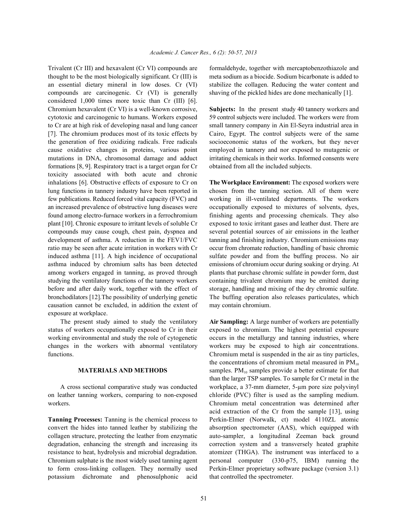thought to be the most biologically significant. Cr (III) is meta sodium as a biocide. Sodium bicarbonate is added to an essential dietary mineral in low doses. Cr (VI) stabilize the collagen. Reducing the water content and compounds are carcinogenic. Cr (VI) is generally shaving of the pickled hides are done mechanically [1]. considered 1,000 times more toxic than Cr (III) [6]. Chromium hexavalent (Cr VI) is a well-known corrosive, **Subjects:** In the present study 40 tannery workers and cytotoxic and carcinogenic to humans. Workers exposed 59 control subjects were included. The workers were from to Cr are at high risk of developing nasal and lung cancer small tannery company in Ain El-Seyra industrial area in [7]. The chromium produces most of its toxic effects by Cairo, Egypt. The control subjects were of the same the generation of free oxidizing radicals. Free radicals socioeconomic status of the workers, but they never cause oxidative changes in proteins, various point employed in tannery and nor exposed to mutagenic or mutations in DNA, chromosomal damage and adduct irritating chemicals in their works. Informed consents were formations [8, 9]. Respiratory tract is a target organ for Cr obtained from all the included subjects. toxicity associated with both acute and chronic inhalations [6]. Obstructive effects of exposure to Cr on **The Workplace Environment:** The exposed workers were lung functions in tannery industry have been reported in chosen from the tanning section. All of them were few publications. Reduced forced vital capacity (FVC) and working in ill-ventilated departments. The workers an increased prevalence of obstructive lung diseases were occupationally exposed to mixtures of solvents, dyes, found among electro-furnace workers in a ferrochromium finishing agents and processing chemicals. They also plant [10]. Chronic exposure to irritant levels of soluble Cr exposed to toxic irritant gases and leather dust. There are compounds may cause cough, chest pain, dyspnea and several potential sources of air emissions in the leather development of asthma. A reduction in the FEV1/FVC tanning and finishing industry. Chromium emissions may ratio may be seen after acute irritation in workers with Cr occur from chromate reduction, handling of basic chromic induced asthma [11]. A high incidence of occupational sulfate powder and from the buffing process. No air asthma induced by chromium salts has been detected emissions of chromium occur during soaking or drying. At among workers engaged in tanning, as proved through plants that purchase chromic sulfate in powder form, dust studying the ventilatory functions of the tannery workers containing trivalent chromium may be emitted during before and after daily work, together with the effect of storage, handling and mixing of the dry chromic sulfate. bronchodilators [12].The possibility of underlying genetic The buffing operation also releases particulates, which causation cannot be excluded, in addition the extent of may contain chromium. exposure at workplace.

status of workers occupationally exposed to Cr in their exposed to chromium. The highest potential exposure working environmental and study the role of cytogenetic occurs in the metallurgy and tanning industries, where changes in the workers with abnormal ventilatory workers may be exposed to high air concentrations.

convert the hides into tanned leather by stabilizing the absorption spectrometer (AAS), which equipped with collagen structure, protecting the leather from enzymatic auto-sampler, a longitudinal Zeeman back ground degradation, enhancing the strength and increasing its correction system and a transversely heated graphite resistance to heat, hydrolysis and microbial degradation. atomizer (THGA). The instrument was interfaced to a Chromium sulphate is the most widely used tanning agent personal computer (330-p75, IBM) running the to form cross-linking collagen. They normally used Perkin-Elmer proprietary software package (version 3.1) potassium dichromate and phenosulphonic acid that controlled the spectrometer.

Trivalent (Cr III) and hexavalent (Cr VI) compounds are formaldehyde, together with mercaptobenzothiazole and

The present study aimed to study the ventilatory **Air Sampling:** A large number of workers are potentially functions. Chromium metal is suspended in the air as tiny particles, **MATERIALS AND METHODS** samples.  $PM_{10}$  samples provide a better estimate for that A cross sectional comparative study was conducted workplace, a 37-mm diameter, 5-um pore size polyvinyl on leather tanning workers, comparing to non-exposed chloride (PVC) filter is used as the sampling medium. workers. Chromium metal concentration was determined after **Tanning Processes:** Tanning is the chemical process to Perkin-Elmer (Norwalk, ct) model 4110ZL atomic the concentrations of chromium metal measured in  $PM_{10}$ than the larger TSP samples. To sample for Cr metal in the acid extraction of the Cr from the sample [13], using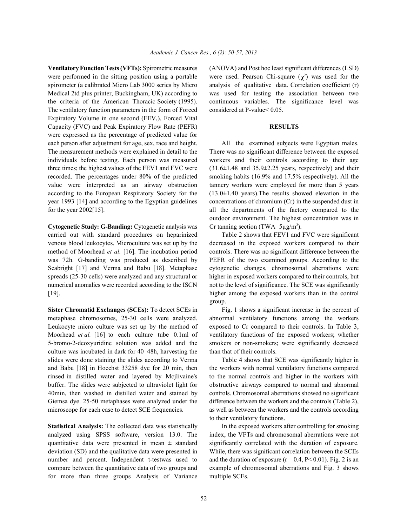were performed in the sitting position using a portable were used. Pearson Chi-square  $(\chi^2)$  was used for the spirometer (a calibrated Micro Lab 3000 series by Micro analysis of qualitative data. Correlation coefficient (r) Medical 2td plus printer, Buckingham, UK) according to was used for testing the association between two the criteria of the American Thoracic Society (1995). continuous variables. The significance level was The ventilatory function parameters in the form of Forced considered at P-value< 0.05. Expiratory Volume in one second  $(FEV_1)$ , Forced Vital Capacity (FVC) and Peak Expiratory Flow Rate (PEFR) **RESULTS** were expressed as the percentage of predicted value for each person after adjustment for age, sex, race and height. All the examined subjects were Egyptian males. The measurement methods were explained in detail to the There was no significant difference between the exposed individuals before testing. Each person was measured workers and their controls according to their age three times; the highest values of the FEV1 and FVC were (31.6±1.48 and 35.9±2.25 years, respectively) and their recorded. The percentages under 80% of the predicted smoking habits (16.9% and 17.5% respectively). All the value were interpreted as an airway obstruction tannery workers were employed for more than 5 years according to the European Respiratory Society for the (13.0±1.40 years). The results showed elevation in the year 1993 [14] and according to the Egyptian guidelines concentrations of chromium (Cr) in the suspended dust in for the year 2002[15]. all the departments of the factory compared to the

**Cytogenetic Study: G-Banding:** Cytogenetic analysis was carried out with standard procedures on heparinized Table 2 shows that FEV1 and FVC were significant venous blood leukocytes. Microculture was set up by the decreased in the exposed workers compared to their method of Moorhead *et al.* [16]. The incubation period controls. There was no significant difference between the was 72h. G-banding was produced as described by PEFR of the two examined groups. According to the Seabright [17] and Verma and Babu [18]. Metaphase cytogenetic changes, chromosomal aberrations were spreads (25-30 cells) were analyzed and any structural or higher in exposed workers compared to their controls, but numerical anomalies were recorded according to the ISCN not to the level of significance. The SCE was significantly [19]. higher among the exposed workers than in the control

metaphase chromosomes, 25-30 cells were analyzed. abnormal ventilatory functions among the workers Leukocyte micro culture was set up by the method of exposed to Cr compared to their controls. In Table 3, Moorhead *et al.* [16] to each culture tube 0.1ml of ventilatory functions of the exposed workers; whether 5-bromo-2-deoxyuridine solution was added and the smokers or non-smokers; were significantly decreased culture was incubated in dark for 40–48h, harvesting the than that of their controls. slides were done staining the slides according to Verma Table 4 shows that SCE was significantly higher in and Babu [18] in Hoechst 33258 dye for 20 min, then the workers with normal ventilatory functions compared rinsed in distilled water and layered by Mcjlivaine's to the normal controls and higher in the workers with buffer. The slides were subjected to ultraviolet light for obstructive airways compared to normal and abnormal 40min, then washed in distilled water and stained by controls. Chromosomal aberrations showed no significant Giemsa dye. 25-50 metaphases were analyzed under the difference between the workers and the controls (Table 2), microscope for each case to detect SCE frequencies. as well as between the workers and the controls according

**Statistical Analysis:** The collected data was statistically In the exposed workers after controlling for smoking analyzed using SPSS software, version 13.0. The index, the VFTs and chromosomal aberrations were not quantitative data were presented in mean  $\pm$  standard significantly correlated with the duration of exposure. deviation (SD) and the qualitative data were presented in While, there was significant correlation between the SCEs number and percent. Independent t-testwas used to and the duration of exposure  $(r = 0.4, P < 0.01)$ . Fig. 2 is an compare between the quantitative data of two groups and example of chromosomal aberrations and Fig. 3 shows for more than three groups Analysis of Variance multiple SCEs.

**Ventilatory Function Tests (VFTs):** Spirometric measures (ANOVA) and Post hoc least significant differences (LSD)

outdoor environment. The highest concentration was in Cr tanning section (TWA= $5\mu g/m^3$ ).

group.

**Sister Chromatid Exchanges (SCEs):** To detect SCEs in Fig. 1 shows a significant increase in the percent of

to their ventilatory functions.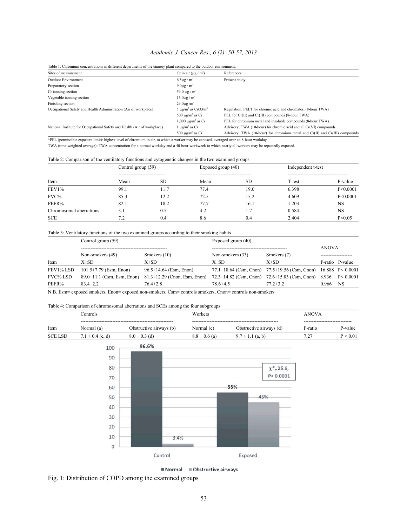## *Academic J. Cancer Res., 6 (2): 50-57, 2013*

| Table 1: Chromium concentrations in different departments of the tannery plant compared to the outdoor environment.                                                                                                                                                                                                                                                                                                     |                                      |                                                                                            |
|-------------------------------------------------------------------------------------------------------------------------------------------------------------------------------------------------------------------------------------------------------------------------------------------------------------------------------------------------------------------------------------------------------------------------|--------------------------------------|--------------------------------------------------------------------------------------------|
| Sites of measurement                                                                                                                                                                                                                                                                                                                                                                                                    | Cr in air $(\mu g/m^3)$              | References                                                                                 |
| <b>Outdoor Environment</b>                                                                                                                                                                                                                                                                                                                                                                                              | $6.5\mu$ g / m <sup>3</sup>          | Present study                                                                              |
| Preparatory section                                                                                                                                                                                                                                                                                                                                                                                                     | $9.0\mu$ g / m <sup>3</sup>          |                                                                                            |
| Cr tanning section                                                                                                                                                                                                                                                                                                                                                                                                      | $59.0 \text{ µg} / \text{m}^3$       |                                                                                            |
| Vegetable tanning section                                                                                                                                                                                                                                                                                                                                                                                               | $15.0\mu$ g / m <sup>3</sup>         |                                                                                            |
| Finishing section                                                                                                                                                                                                                                                                                                                                                                                                       | $29.0\mu$ g/m <sup>3</sup>           |                                                                                            |
| Occupational Safety and Health Administration (Air of workplace)                                                                                                                                                                                                                                                                                                                                                        | $5 \mu g/m^3$ as CrO3/m <sup>3</sup> | Regulation; PEL <sup>†</sup> for chromic acid and chromates, (8-hour TWA)                  |
|                                                                                                                                                                                                                                                                                                                                                                                                                         | 500 $\mu$ g/m <sup>3</sup> as Cr     | PEL for Cr(II) and Cr(III) compounds (8-hour TWA)                                          |
|                                                                                                                                                                                                                                                                                                                                                                                                                         | $1,000 \mu g/m^3$ as Cr              | PEL for chromium metal and insoluble compounds (8-hour TWA)                                |
| National Institute for Occupational Safety and Health (Air of workplace)                                                                                                                                                                                                                                                                                                                                                | l μg/m <sup>3</sup> as Cr            | Advisory; TWA (10-hour) for chromic acid and all Cr(VI) compounds                          |
|                                                                                                                                                                                                                                                                                                                                                                                                                         | 500 $\mu$ g/m <sup>3</sup> as Cr     | Advisory; TWA $(10 \text{-} hour)$ for chromium metal and $Cr(II)$ and $Cr(III)$ compounds |
| $\mathbf{A} \mathbf{D} \mathbf{D} \mathbf{I} \mathbf{A} = \mathbf{I} \mathbf{A} \mathbf{A} + \mathbf{I} \mathbf{A} + \mathbf{I} \mathbf{A} + \mathbf{I} \mathbf{A} + \mathbf{I} \mathbf{A} + \mathbf{I} \mathbf{A} + \mathbf{I} \mathbf{A} + \mathbf{I} \mathbf{A} + \mathbf{I} \mathbf{A} + \mathbf{I} \mathbf{A} + \mathbf{I} \mathbf{A} + \mathbf{I} \mathbf{A} + \mathbf{I} \mathbf{A} + \mathbf{I} \mathbf{A} + \$ |                                      |                                                                                            |

†PEL (permissible exposure limit): highest level of chromium in air, to which a worker may be exposed, averaged over an 8-hour workday. TWA (time-weighted average): TWA concentration for a normal workday and a 40-hour workweek to which nearly all workers may be repeatedly exposed.

Table 2: Comparison of the ventilatory functions and cytogenetic changes in the two examined groups

| Item                    | Control group (59) |      | Exposed group (40) |                                      | Independent t-test |            |
|-------------------------|--------------------|------|--------------------|--------------------------------------|--------------------|------------|
|                         | <br>Mean           | SD.  | Mean               | -----------------------------<br>SD. | T-test             | P-value    |
| FEV1%                   | 99.1               | 11.7 | 77.4               | 19.0                                 | 6.398              | P < 0.0001 |
| FVC%                    | 85.3               | 12.2 | 72.5               | 15.2                                 | 4.609              | P < 0.0001 |
| PEFR%                   | 82.1               | 18.2 | 77.7               | 16.1                                 | 1.203              | <b>NS</b>  |
| Chromosomal aberrations | 3.1                | 0.5  | 4.2                | 1.7                                  | 0.584              | <b>NS</b>  |
| <b>SCE</b>              | 7.2                | 0.4  | 8.6                | 0.4                                  | 2.404              | P < 0.05   |

Table 3: Ventilatory functions of the two examined groups according to their smoking habits

|                 | Control group (59)               |                                    | Exposed group $(40)$ |                                                                              |       |                 |  |
|-----------------|----------------------------------|------------------------------------|----------------------|------------------------------------------------------------------------------|-------|-----------------|--|
|                 |                                  |                                    |                      |                                                                              |       | <b>ANOVA</b>    |  |
|                 | Non-smokers (49)                 | Smokers $(10)$                     | Non-smokers (33)     | Smokers (7)                                                                  |       |                 |  |
| Item            | $X\pm SD$                        | $X\pm SD$                          | $X\pm SD$            | $X\pm SD$                                                                    |       | F-ratio P-value |  |
| FEV1% LSD       | $101.5 \pm 7.79$ (Esm, Enon)     | $96.5 \pm 14.64$ (Esm, Enon)       |                      | 77.1±18.64 (Csm, Cnon) 77.5±19.56 (Csm, Cnon) 16.888 $P < 0.0001$            |       |                 |  |
| <b>FVC% LSD</b> | $89.0 \pm 11.1$ (Csm, Esm, Enon) | $81.3 \pm 12.29$ (Cnon, Esm, Enon) |                      | $72.3 \pm 14.82$ (Csm, Cnon) $72.6 \pm 15.83$ (Csm, Cnon) $8.936$ P < 0.0001 |       |                 |  |
| PEFR%           | $83.4 + 2.2$                     | $76.4 + 2.8$                       | $78.6 + 4.5$         | $77.2 + 3.2$                                                                 | 0.966 | NS              |  |
| ____            |                                  |                                    |                      |                                                                              |       |                 |  |

N.B. Esm= exposed smokers, Enon= exposed non-smokers, Csm= controls smokers, Cnon= controls non-smokers

Table 4: Comparison of chromosomal aberrations and SCEs among the four subgroups

|                | .`ontrols        |                         | Workers           |                         | <b>ANOVA</b> |                                 |  |
|----------------|------------------|-------------------------|-------------------|-------------------------|--------------|---------------------------------|--|
|                |                  |                         |                   |                         |              | ------------------------------- |  |
| Item           | Normal (a)       | Obstructive airways (b) | Normal (c)        | Obstructive airways (d) | F-ratio      | P-value                         |  |
| <b>SCE LSD</b> | $\pm 0.4$ (c, d) | $8.0 \pm 0.3$ (d)       | $8.8 \pm 0.6$ (a) | (a, b)<br>-1.1<br>土     | 7.27<br>$-4$ | : 0.01                          |  |



 $\blacksquare$  Normal  $\blacksquare$  Obstructive airways

Fig. 1: Distribution of COPD among the examined groups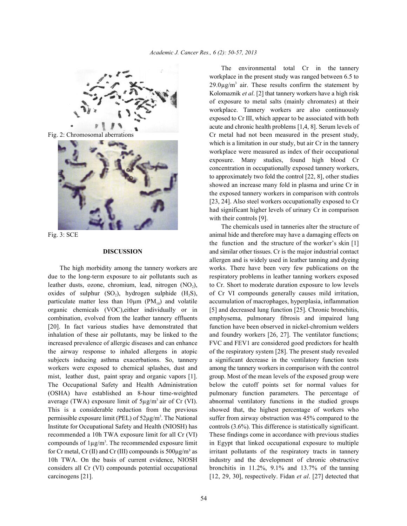



due to the long-term exposure to air pollutants such as respiratory problems in leather tanning workers exposed leather dusts, ozone, chromium, lead, nitrogen (NO<sub>2</sub>), to Cr. Short to moderate duration exposure to low levels oxides of sulphur  $(SO_2)$ , hydrogen sulphide  $(H, S)$ , of Cr VI compounds generally causes mild irritation, particulate matter less than  $10\mu$ m (PM $_{10}$ ) and volatile accumulation of macrophages, hyperplasia, inflammation organic chemicals (VOC),either individually or in [5] and decreased lung function [25]. Chronic bronchitis, combination, evolved from the leather tannery effluents emphysema, pulmonary fibrosis and impaired lung [20]. In fact various studies have demonstrated that function have been observed in nickel-chromium welders inhalation of these air pollutants, may be linked to the and foundry workers [26, 27]. The ventilator functions; increased prevalence of allergic diseases and can enhance FVC and FEV1 are considered good predictors for health the airway response to inhaled allergens in atopic of the respiratory system [28]. The present study revealed subjects inducing asthma exacerbations. So, tannery a significant decrease in the ventilatory function tests workers were exposed to chemical splashes, dust and among the tannery workers in comparison with the control mist, leather dust, paint spray and organic vapors [1]. group. Most of the mean levels of the exposed group were The Occupational Safety and Health Administration below the cutoff points set for normal values for (OSHA) have established an 8-hour time-weighted pulmonary function parameters. The percentage of average (TWA) exposure limit of  $5\mu\text{g/m}^3$  air of Cr (VI). abnormal ventilatory functions in the studied groups This is a considerable reduction from the previous showed that, the highest percentage of workers who permissible exposure limit (PEL) of  $52\mu g/m^3$ . The National suffer from airway obstruction was 45% compared to the Institute for Occupational Safety and Health (NIOSH) has controls (3.6%). This difference is statistically significant. recommended a 10h TWA exposure limit for all Cr (VI) These findings come in accordance with previous studies compounds of  $1\mu\text{g/m}^3$ . The recommended exposure limit in Egypt that linked occupational exposure to multiple for Cr metal, Cr (II) and Cr (III) compounds is  $500\mu g/m<sup>3</sup>$  as irritant pollutants of the respiratory tracts in tannery 10h TWA. On the basis of current evidence, NIOSH industry and the development of chronic obstructive considers all Cr (VI) compounds potential occupational bronchitis in 11.2%, 9.1% and 13.7% of the tanning carcinogens [21]. [12, 29, 30], respectively. Fidan *et al*. [27] detected that

Fig. 2: Chromosomal aberrations Cr metal had not been measured in the present study, The environmental total Cr in the tannery workplace in the present study was ranged between 6.5 to  $29.0\mu$ g/m<sup>3</sup> air. These results confirm the statement by Kolomaznik *et al*. [2] that tannery workers have a high risk of exposure to metal salts (mainly chromates) at their workplace. Tannery workers are also continuously exposed to Cr III, which appear to be associated with both acute and chronic health problems [1,4, 8]. Serum levels of which is a limitation in our study, but air Cr in the tannery workplace were measured as index of their occupational exposure. Many studies, found high blood Cr concentration in occupationally exposed tannery workers, to approximately two fold the control [22, 8], other studies showed an increase many fold in plasma and urine Cr in the exposed tannery workers in comparison with controls [23, 24]. Also steel workers occupationally exposed to Cr had significant higher levels of urinary Cr in comparison with their controls [9].

Fig. 3: SCE animal hide and therefore may have a damaging effects on **DISCUSSION** and similar other tissues. Cr is the major industrial contact The high morbidity among the tannery workers are works. There have been very few publications on the The chemicals used in tanneries alter the structure of the function and the structure of the worker's skin [1] allergen and is widely used in leather tanning and dyeing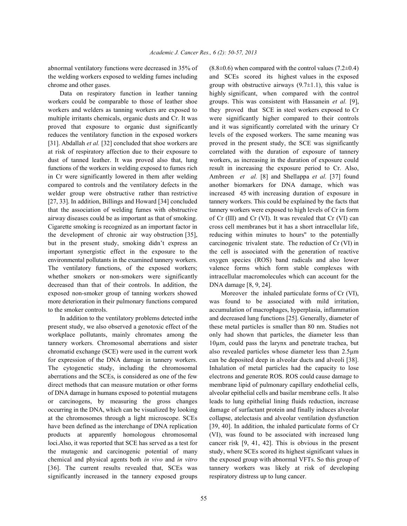abnormal ventilatory functions were decreased in 35% of  $(8.8\pm0.6)$  when compared with the control values (7.2 $\pm$ 0.4) the welding workers exposed to welding fumes including and SCEs scored its highest values in the exposed chrome and other gases.  $\qquad \qquad \text{group with obstructive airways } (9.7 \pm 1.1), \text{ this value is}$ 

workers could be comparable to those of leather shoe groups. This was consistent with Hassanein *et al.* [9], workers and welders as tanning workers are exposed to they proved that SCE in steel workers exposed to Cr multiple irritants chemicals, organic dusts and Cr. It was were significantly higher compared to their controls proved that exposure to organic dust significantly and it was significantly correlated with the urinary Cr reduces the ventilatory function in the exposed workers levels of the exposed workers. The same meaning was [31]. Abdallah *et al.* [32] concluded that shoe workers are proved in the present study, the SCE was significantly at risk of respiratory affection due to their exposure to correlated with the duration of exposure of tannery dust of tanned leather. It was proved also that, lung workers, as increasing in the duration of exposure could functions of the workers in welding exposed to fumes rich result in increasing the exposure period to Cr. Also, in Cr were significantly lowered in them after welding Ambreen *et al.* [8] and Shellappa *et al.* [37] found compared to controls and the ventilatory defects in the another biomarkers for DNA damage, which was welder group were obstructive rather than restrictive increased 45 with increasing duration of exposure in [27, 33]. In addition, Billings and Howard [34] concluded tannery workers. This could be explained by the facts that that the association of welding fumes with obstructive tannery workers were exposed to high levels of Cr in form airway diseases could be as important as that of smoking. of Cr (III) and Cr (VI). It was revealed that Cr (VI) can Cigarette smoking is recognized as an important factor in cross cell membranes but it has a short intracellular life, the development of chronic air way obstruction [35], reducing within minutes to hours" to the potentially but in the present study, smoking didn't express an carcinogenic trivalent state. The reduction of Cr (VI) in important synergistic effect in the exposure to the the cell is associated with the generation of reactive environmental pollutants in the examined tannery workers. oxygen species (ROS) band radicals and also lower The ventilatory functions, of the exposed workers; valence forms which form stable complexes with whether smokers or non-smokers were significantly intracellular macromolecules which can account for the decreased than that of their controls. In addition, the DNA damage [8, 9, 24]. exposed non-smoker group of tanning workers showed Moreover the inhaled particulate forms of Cr (VI), more deterioration in their pulmonary functions compared was found to be associated with mild irritation, to the smoker controls. accumulation of macrophages, hyperplasia, inflammation

present study, we also observed a genotoxic effect of the these metal particles is smaller than 80 nm. Studies not workplace pollutants, mainly chromates among the only had shown that particles, the diameter less than tannery workers. Chromosomal aberrations and sister  $10\mu$ m, could pass the larynx and penetrate trachea, but chromatid exchange (SCE) were used in the current work also revealed particles whose diameter less than 2.5µm for expression of the DNA damage in tannery workers. can be deposited deep in alveolar ducts and alveoli [38]. The cytogenetic study, including the chromosomal Inhalation of metal particles had the capacity to lose aberrations and the SCEs, is considered as one of the few electrons and generate ROS. ROS could cause damage to direct methods that can measure mutation or other forms membrane lipid of pulmonary capillary endothelial cells, of DNA damage in humans exposed to potential mutagens alveolar epithelial cells and basilar membrane cells. It also or carcinogens, by measuring the gross changes leads to lung epithelial lining fluids reduction, increase occurring in the DNA, which can be visualized by looking damage of surfactant protein and finally induces alveolar at the chromosomes through a light microscope. SCEs collapse, atelectasis and alveolar ventilation dysfunction have been defined as the interchange of DNA replication [39, 40]. In addition, the inhaled particulate forms of Cr products at apparently homologous chromosomal (VI), was found to be associated with increased lung loci.Also, it was reported that SCE has served as a test for cancer risk [9, 41, 42]. This is obvious in the present the mutagenic and carcinogenic potential of many study, where SCEs scored its highest significant values in chemical and physical agents both *in vivo* and *in vitro* the exposed group with abnormal VFTs. So this group of [36]. The current results revealed that, SCEs was tannery workers was likely at risk of developing significantly increased in the tannery exposed groups respiratory distress up to lung cancer.

Data on respiratory function in leather tanning highly significant, when compared with the control

In addition to the ventilatory problems detected inthe and decreased lung functions [25]. Generally, diameter of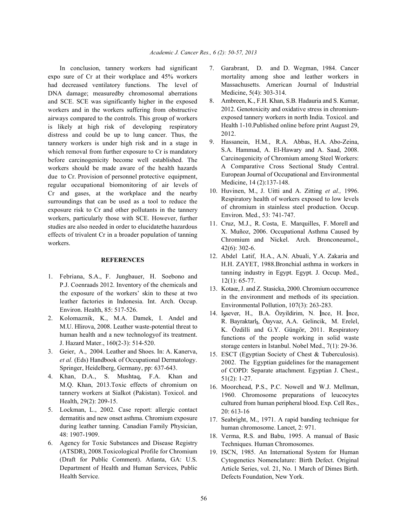expo sure of Cr at their workplace and 45% workers had decreased ventilatory functions. The level of DNA damage; measuredby chromosomal aberrations and SCE. SCE was significantly higher in the exposed workers and in the workers suffering from obstructive airways compared to the controls. This group of workers is likely at high risk of developing respiratory distress and could be up to lung cancer. Thus, the tannery workers is under high risk and in a stage in which removal from further exposure to Cr is mandatory before carcinogenicity become well established. The workers should be made aware of the health hazards due to Cr. Provision of personnel protective equipment, regular occupational biomonitoring of air levels of Cr and gases, at the workplace and the nearby surroundings that can be used as a tool to reduce the exposure risk to Cr and other pollutants in the tannery workers, particularly those with SCE. However, further studies are also needed in order to elucidatethe hazardous effects of trivalent Cr in a broader population of tanning workers.

## **REFERENCES**

- 1. Febriana, S.A., F. Jungbauer, H. Soebono and P.J. Coenraads 2012. Inventory of the chemicals and the exposure of the workers' skin to these at two leather factories in Indonesia. Int. Arch. Occup. Environ. Health, 85: 517-526.
- 2. Kolomaznik, K., M.A. Damek, I. Andel and M.U. Hlirova, 2008. Leather waste-potential threat to human health and a new technologyof its treatment. J. Hazard Mater., 160(2-3): 514-520.
- 3. Geier, A., 2004. Leather and Shoes. In: A. Kanerva, *et al.* (Eds) Handbook of Occupational Dermatology. Springer, Heidelberg, Germany, pp: 637-643.
- 4. Khan, D.A., S. Mushtaq, F.A. Khan and M.Q. Khan, 2013.Toxic effects of chromium on tannery workers at Sialkot (Pakistan). Toxicol. and Health, 29(2): 209-15.
- 5. Lockman, L., 2002. Case report: allergic contact dermatitis and new onset asthma. Chromium exposure during leather tanning. Canadian Family Physician, 48: 1907-1909.
- 6. Agency for Toxic Substances and Disease Registry (ATSDR), 2008.Toxicological Profile for Chromium (Draft for Public Comment). Atlanta, GA: U.S. Department of Health and Human Services, Public Health Service.
- In conclusion, tannery workers had significant 7. Garabrant, D. and D. Wegman, 1984. Cancer mortality among shoe and leather workers in Massachusetts. American Journal of Industrial Medicine, 5(4): 303-314.
	- 8. Ambreen, K., F.H. Khan, S.B. Hadauria and S. Kumar, 2012. Genotoxicity and oxidative stress in chromiumexposed tannery workers in north India. Toxicol. and Health 1-10.Published online before print August 29, 2012.
	- 9. Hassanein, H.M., R.A. Abbas, H.A. Abo-Zeina, S.A. Hammad, A. El-Hawary and A. Saad, 2008. Carcinogenicity of Chromium among Steel Workers: A Comparative Cross Sectional Study Central. European Journal of Occupational and Environmental Medicine, 14 (2):137-148.
	- 10. Huvinen, M., J. Uitti and A. Zitting *et al.,* 1996. Respiratory health of workers exposed to low levels of chromium in stainless steel production. Occup. Environ. Med., 53: 741-747.
	- 11. Cruz, M.J., R. Costa, E. Marquilles, F. Morell and X. Muñoz, 2006. Occupational Asthma Caused by Chromium and Nickel. Arch. Bronconeumol., 42(6): 302-6.
	- 12. Abdel Latif, H.A., A.N. Abuali, Y.A. Zakaria and H.H. ZAYET, 1988.Bronchial asthma in workers in tanning industry in Egypt. Egypt. J. Occup. Med., 12(1): 65-77.
	- 13. Kotaœ, J. and Z. Stasicka, 2000. Chromium occurrence in the environment and methods of its speciation. Environmental Pollution, 107(3): 263-283.
	- 14. Issever, H., B.A. Özyildirim, N. İnce, H. İnce, R. Bayraktarlı, Öayvaz, A.A. Gelincik, M. Erelel, K. Özdilli and G.Y. Güngör, 2011. Respiratory functions of the people working in solid waste storage centers in Istanbul. Nobel Med., 7(1): 29-36.
	- 15. ESCT (Egyptian Society of Chest & Tuberculosis). 2002. The Egyptian guidelines for the management of COPD: Separate attachment. Egyptian J. Chest., 51(2): 1-27.
	- 16. Moorchead, P.S., P.C. Nowell and W.J. Mellman, 1960. Chromosome preparations of leucocytes cultured from human peripheral blood. Exp. Cell Res., 20: 613-16
	- 17. Seabright, M., 1971. A rapid banding technique for human chromosome. Lancet, 2: 971.
	- 18. Verma, R.S. and Babu, 1995. A manual of Basic Techniques. Human Chromosomes.
	- 19. ISCN, 1985. An International System for Human Cytogenetics Nomenclature: Birth Defect. Original Article Series, vol. 21, No. 1 March of Dimes Birth. Defects Foundation, New York.